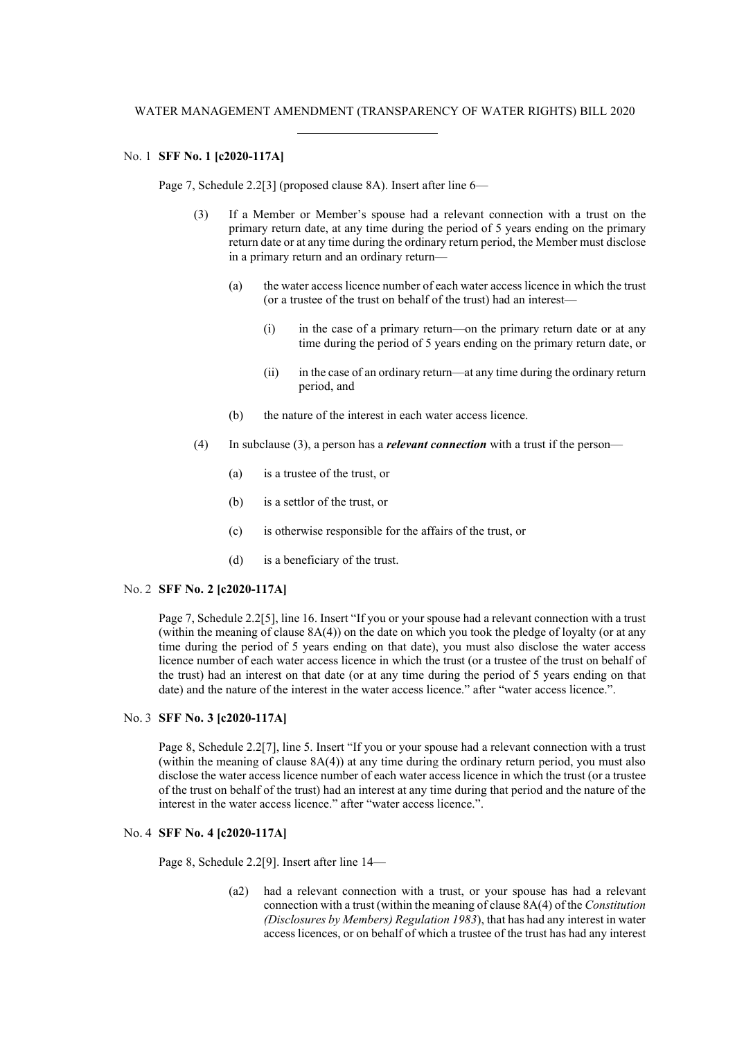# No. 1 **SFF No. 1 [c2020-117A]**

Page 7, Schedule 2.2[3] (proposed clause 8A). Insert after line 6—

- (3) If a Member or Member's spouse had a relevant connection with a trust on the primary return date, at any time during the period of 5 years ending on the primary return date or at any time during the ordinary return period, the Member must disclose in a primary return and an ordinary return—
	- (a) the water access licence number of each water access licence in which the trust (or a trustee of the trust on behalf of the trust) had an interest—
		- (i) in the case of a primary return—on the primary return date or at any time during the period of 5 years ending on the primary return date, or
		- (ii) in the case of an ordinary return—at any time during the ordinary return period, and
	- (b) the nature of the interest in each water access licence.
- (4) In subclause (3), a person has a *relevant connection* with a trust if the person—
	- (a) is a trustee of the trust, or
	- (b) is a settlor of the trust, or
	- (c) is otherwise responsible for the affairs of the trust, or
	- (d) is a beneficiary of the trust.

#### No. 2 **SFF No. 2 [c2020-117A]**

Page 7, Schedule 2.2[5], line 16. Insert "If you or your spouse had a relevant connection with a trust (within the meaning of clause 8A(4)) on the date on which you took the pledge of loyalty (or at any time during the period of 5 years ending on that date), you must also disclose the water access licence number of each water access licence in which the trust (or a trustee of the trust on behalf of the trust) had an interest on that date (or at any time during the period of 5 years ending on that date) and the nature of the interest in the water access licence." after "water access licence.".

# No. 3 **SFF No. 3 [c2020-117A]**

Page 8, Schedule 2.2[7], line 5. Insert "If you or your spouse had a relevant connection with a trust (within the meaning of clause 8A(4)) at any time during the ordinary return period, you must also disclose the water access licence number of each water access licence in which the trust (or a trustee of the trust on behalf of the trust) had an interest at any time during that period and the nature of the interest in the water access licence." after "water access licence.".

# No. 4 **SFF No. 4 [c2020-117A]**

Page 8, Schedule 2.2[9]. Insert after line 14—

(a2) had a relevant connection with a trust, or your spouse has had a relevant connection with a trust (within the meaning of clause 8A(4) of the *Constitution (Disclosures by Members) Regulation 1983*), that has had any interest in water access licences, or on behalf of which a trustee of the trust has had any interest